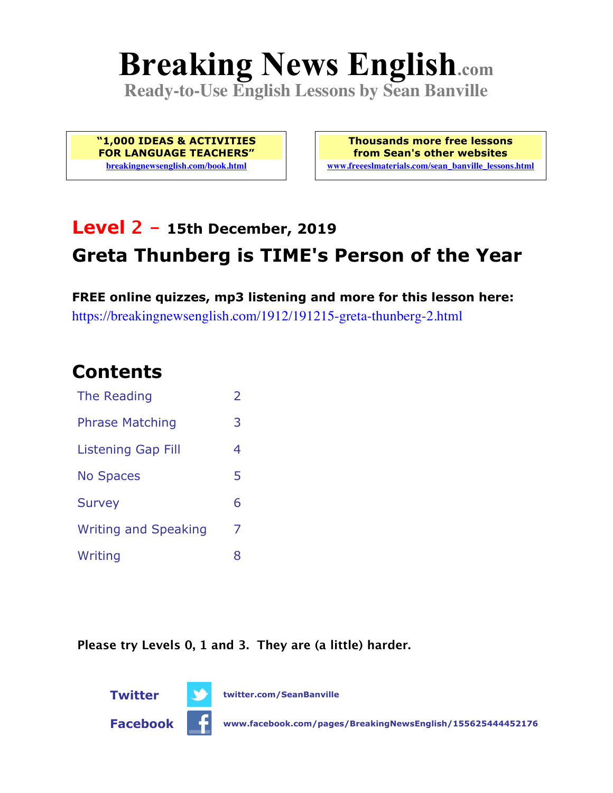# **Breaking News English.com**

**Ready-to-Use English Lessons by Sean Banville**

**"1,000 IDEAS & ACTIVITIES FOR LANGUAGE TEACHERS" breakingnewsenglish.com/book.html**

**Thousands more free lessons from Sean's other websites www.freeeslmaterials.com/sean\_banville\_lessons.html**

# **Level 2 - 15th December, 2019 Greta Thunberg is TIME's Person of the Year**

**FREE online quizzes, mp3 listening and more for this lesson here:** https://breakingnewsenglish.com/1912/191215-greta-thunberg-2.html

### **Contents**

| The Reading                 | $\overline{\phantom{a}}$ |
|-----------------------------|--------------------------|
| <b>Phrase Matching</b>      | 3                        |
| Listening Gap Fill          | 4                        |
| <b>No Spaces</b>            | 5                        |
| <b>Survey</b>               | 6                        |
| <b>Writing and Speaking</b> | 7                        |
| Writing                     | 8                        |

**Please try Levels 0, 1 and 3. They are (a little) harder.**



**Twitter twitter.com/SeanBanville**

**Facebook www.facebook.com/pages/BreakingNewsEnglish/155625444452176**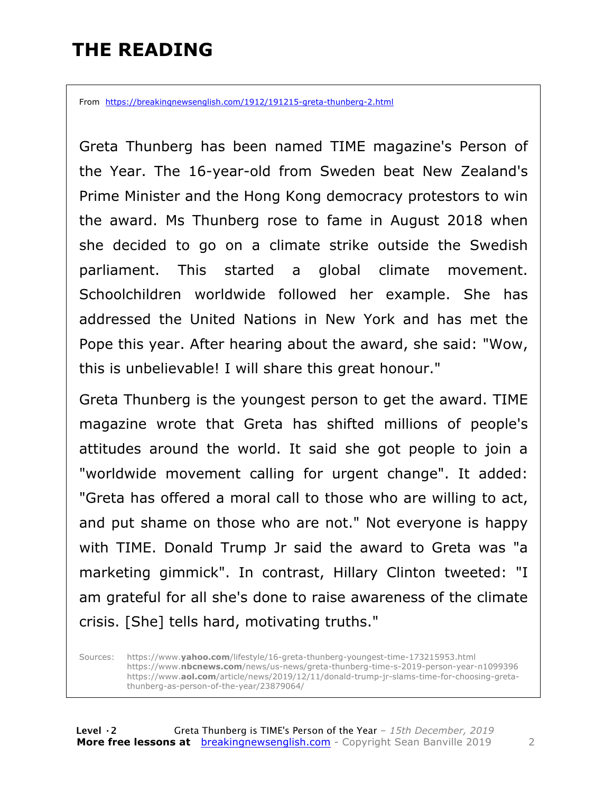## **THE READING**

From https://breakingnewsenglish.com/1912/191215-greta-thunberg-2.html

Greta Thunberg has been named TIME magazine's Person of the Year. The 16-year-old from Sweden beat New Zealand's Prime Minister and the Hong Kong democracy protestors to win the award. Ms Thunberg rose to fame in August 2018 when she decided to go on a climate strike outside the Swedish parliament. This started a global climate movement. Schoolchildren worldwide followed her example. She has addressed the United Nations in New York and has met the Pope this year. After hearing about the award, she said: "Wow, this is unbelievable! I will share this great honour."

Greta Thunberg is the youngest person to get the award. TIME magazine wrote that Greta has shifted millions of people's attitudes around the world. It said she got people to join a "worldwide movement calling for urgent change". It added: "Greta has offered a moral call to those who are willing to act, and put shame on those who are not." Not everyone is happy with TIME. Donald Trump Jr said the award to Greta was "a marketing gimmick". In contrast, Hillary Clinton tweeted: "I am grateful for all she's done to raise awareness of the climate crisis. [She] tells hard, motivating truths."

Sources: https://www.**yahoo.com**/lifestyle/16-greta-thunberg-youngest-time-173215953.html https://www.**nbcnews.com**/news/us-news/greta-thunberg-time-s-2019-person-year-n1099396 https://www.**aol.com**/article/news/2019/12/11/donald-trump-jr-slams-time-for-choosing-gretathunberg-as-person-of-the-year/23879064/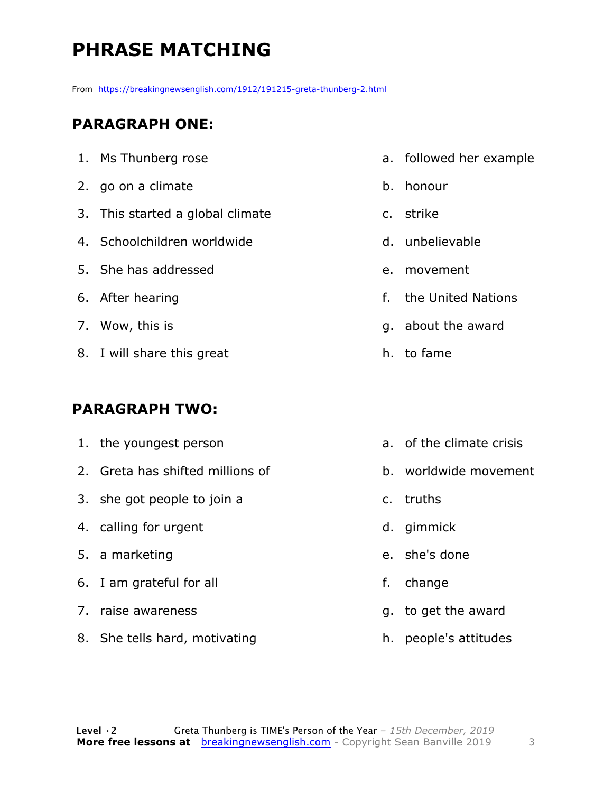# **PHRASE MATCHING**

From https://breakingnewsenglish.com/1912/191215-greta-thunberg-2.html

#### **PARAGRAPH ONE:**

| 1. Ms Thunberg rose              |
|----------------------------------|
| 2. go on a climate               |
| 3. This started a global climate |
| 4. Schoolchildren worldwide      |
| 5. She has addressed             |
| 6. After hearing                 |
| 7. Wow, this is                  |
| 8. I will share this great       |

#### **PARAGRAPH TWO:**

- 1. the youngest person 2. Greta has shifted millions of 3. she got people to join a 4. calling for urgent 5. a marketing 6. I am grateful for all 7. raise awareness a. of the climate crisis c. truths d. gimmick e. she's done f. change g. to get the award
- 8. She tells hard, motivating
- a. followed her example
- b. honour
- c. strike
- d. unbelievable
- e. movement
- f. the United Nations
- g. about the award
- h. to fame
- 
- b. worldwide movement

h. people's attitudes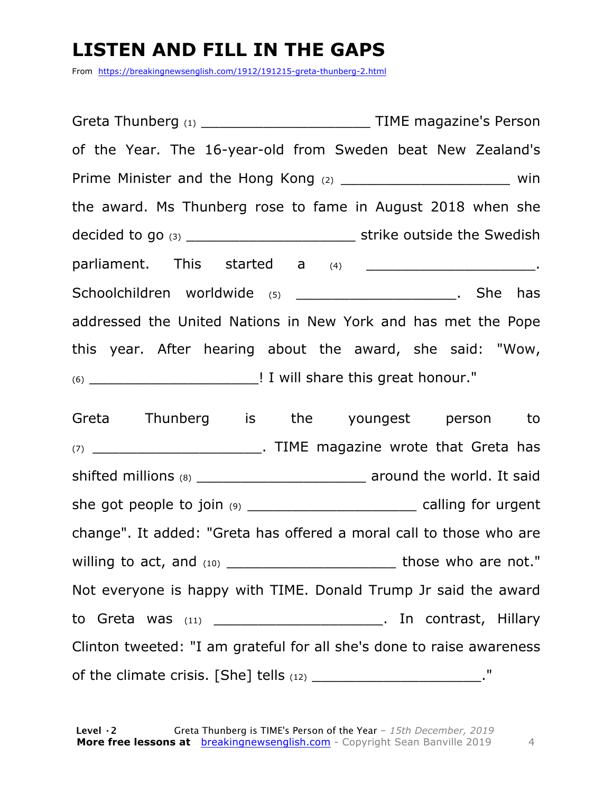## **LISTEN AND FILL IN THE GAPS**

From https://breakingnewsenglish.com/1912/191215-greta-thunberg-2.html

Greta Thunberg (1) **Exercise Servers** TIME magazine's Person of the Year. The 16-year-old from Sweden beat New Zealand's Prime Minister and the Hong Kong (2) \_\_\_\_\_\_\_\_\_\_\_\_\_\_\_\_\_\_\_\_\_\_\_\_\_\_ win the award. Ms Thunberg rose to fame in August 2018 when she decided to go (3) \_\_\_\_\_\_\_\_\_\_\_\_\_\_\_\_\_\_\_ strike outside the Swedish parliament. This started a (4) \_\_\_\_\_\_\_\_\_\_\_\_\_\_\_\_\_\_\_\_\_\_\_\_\_\_\_. Schoolchildren worldwide (5) **Example 19 and Schoolchildren** worldwide (5) addressed the United Nations in New York and has met the Pope this year. After hearing about the award, she said: "Wow, (6) \_\_\_\_\_\_\_\_\_\_\_\_\_\_\_\_\_\_\_! I will share this great honour."

Greta Thunberg is the youngest person to (7) TIME magazine wrote that Greta has shifted millions (8) \_\_\_\_\_\_\_\_\_\_\_\_\_\_\_\_\_\_\_\_\_\_\_\_\_\_\_\_\_ around the world. It said she got people to join (9) \_\_\_\_\_\_\_\_\_\_\_\_\_\_\_\_\_\_\_\_\_\_\_\_\_\_\_\_ calling for urgent change". It added: "Greta has offered a moral call to those who are willing to act, and (10) \_\_\_\_\_\_\_\_\_\_\_\_\_\_\_\_\_\_\_ those who are not." Not everyone is happy with TIME. Donald Trump Jr said the award to Greta was (11) to Greta was (11) Clinton tweeted: "I am grateful for all she's done to raise awareness of the climate crisis. [She] tells  $(12)$  \_\_\_\_\_\_\_\_\_\_\_\_\_\_\_\_\_\_\_\_\_\_."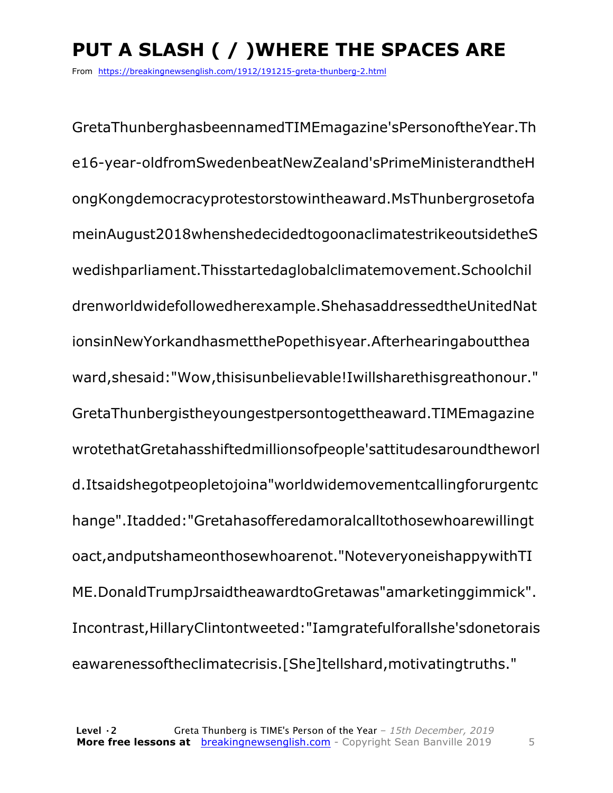# **PUT A SLASH ( / )WHERE THE SPACES ARE**

From https://breakingnewsenglish.com/1912/191215-greta-thunberg-2.html

GretaThunberghasbeennamedTIMEmagazine'sPersonoftheYear.Th e16-year-oldfromSwedenbeatNewZealand'sPrimeMinisterandtheH ongKongdemocracyprotestorstowintheaward.MsThunbergrosetofa meinAugust2018whenshedecidedtogoonaclimatestrikeoutsidetheS wedishparliament.Thisstartedaglobalclimatemovement.Schoolchil drenworldwidefollowedherexample.ShehasaddressedtheUnitedNat ionsinNewYorkandhasmetthePopethisyear.Afterhearingaboutthea ward,shesaid:"Wow,thisisunbelievable!Iwillsharethisgreathonour." GretaThunbergistheyoungestpersontogettheaward.TIMEmagazine wrotethatGretahasshiftedmillionsofpeople'sattitudesaroundtheworl d.Itsaidshegotpeopletojoina"worldwidemovementcallingforurgentc hange".Itadded:"Gretahasofferedamoralcalltothosewhoarewillingt oact,andputshameonthosewhoarenot."NoteveryoneishappywithTI ME.DonaldTrumpJrsaidtheawardtoGretawas"amarketinggimmick". Incontrast,HillaryClintontweeted:"Iamgratefulforallshe'sdonetorais eawarenessoftheclimatecrisis.[She]tellshard,motivatingtruths."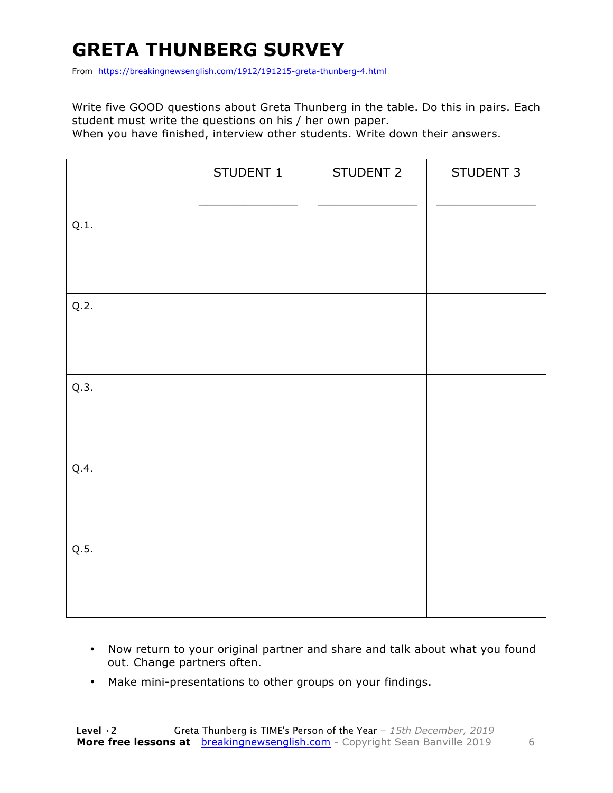# **GRETA THUNBERG SURVEY**

From https://breakingnewsenglish.com/1912/191215-greta-thunberg-4.html

Write five GOOD questions about Greta Thunberg in the table. Do this in pairs. Each student must write the questions on his / her own paper.

When you have finished, interview other students. Write down their answers.

|      | STUDENT 1 | STUDENT 2 | STUDENT 3 |
|------|-----------|-----------|-----------|
| Q.1. |           |           |           |
| Q.2. |           |           |           |
| Q.3. |           |           |           |
| Q.4. |           |           |           |
| Q.5. |           |           |           |

- Now return to your original partner and share and talk about what you found out. Change partners often.
- Make mini-presentations to other groups on your findings.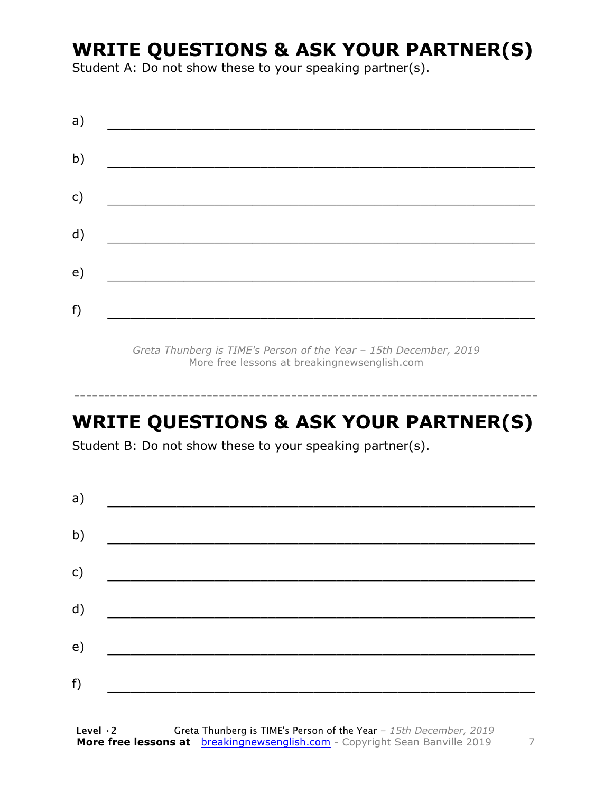### **WRITE QUESTIONS & ASK YOUR PARTNER(S)**

Student A: Do not show these to your speaking partner(s).

*Greta Thunberg is TIME's Person of the Year – 15th December, 2019* More free lessons at breakingnewsenglish.com

### **WRITE QUESTIONS & ASK YOUR PARTNER(S)**

-----------------------------------------------------------------------------

Student B: Do not show these to your speaking partner(s).

| a) |  |  |
|----|--|--|
| b) |  |  |
| c) |  |  |
| d) |  |  |
| e) |  |  |
| f) |  |  |
|    |  |  |

**Level ·2** Greta Thunberg is TIME's Person of the Year *– 15th December, 2019* **More free lessons at** breakingnewsenglish.com - Copyright Sean Banville 2019 7